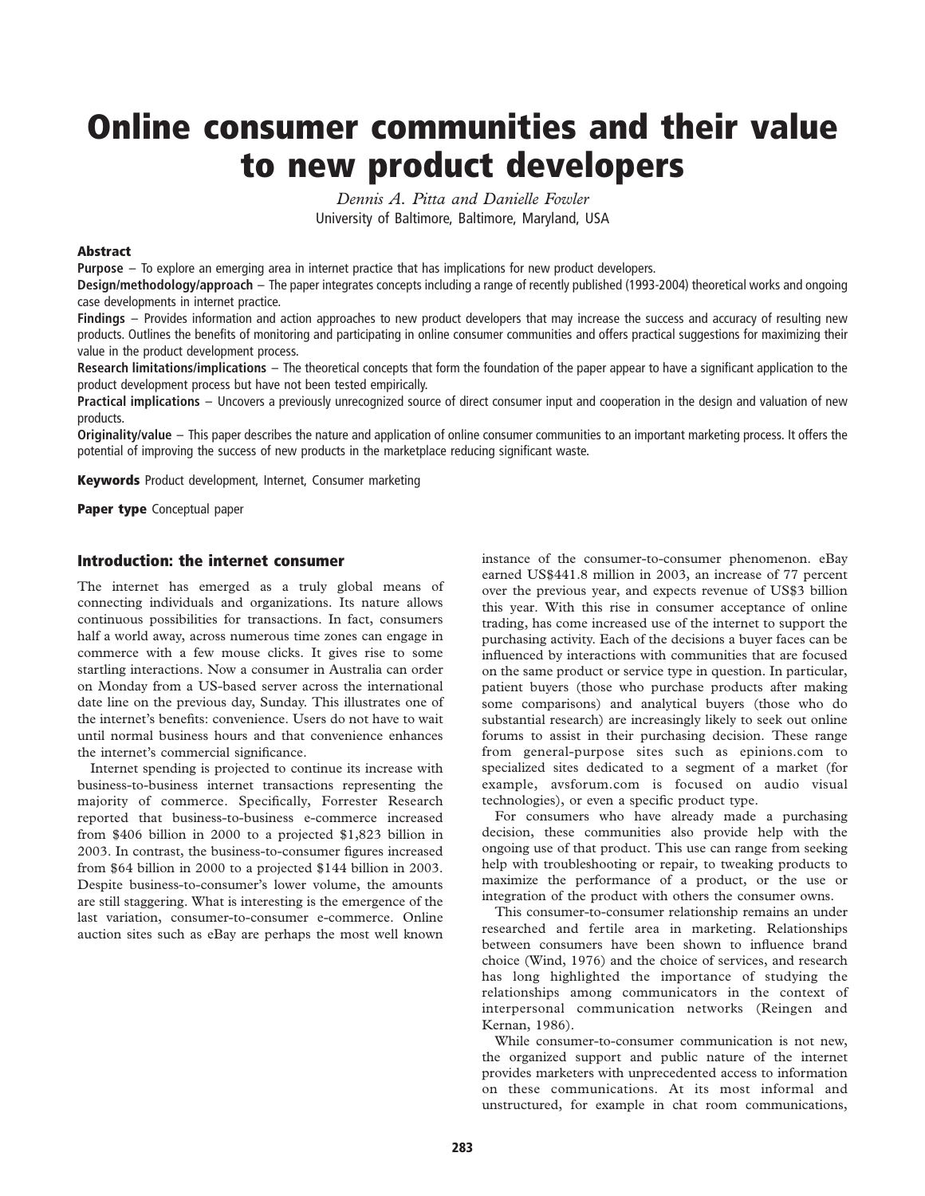# Online consumer communities and their value to new product developers

Dennis A. Pitta and Danielle Fowler

University of Baltimore, Baltimore, Maryland, USA

## Abstract

Purpose – To explore an emerging area in internet practice that has implications for new product developers.

Design/methodology/approach – The paper integrates concepts including a range of recently published (1993-2004) theoretical works and ongoing case developments in internet practice.

Findings – Provides information and action approaches to new product developers that may increase the success and accuracy of resulting new products. Outlines the benefits of monitoring and participating in online consumer communities and offers practical suggestions for maximizing their value in the product development process.

Research limitations/implications – The theoretical concepts that form the foundation of the paper appear to have a significant application to the product development process but have not been tested empirically.

Practical implications – Uncovers a previously unrecognized source of direct consumer input and cooperation in the design and valuation of new products.

Originality/value – This paper describes the nature and application of online consumer communities to an important marketing process. It offers the potential of improving the success of new products in the marketplace reducing significant waste.

Keywords Product development, Internet, Consumer marketing

Paper type Conceptual paper

# Introduction: the internet consumer

The internet has emerged as a truly global means of connecting individuals and organizations. Its nature allows continuous possibilities for transactions. In fact, consumers half a world away, across numerous time zones can engage in commerce with a few mouse clicks. It gives rise to some startling interactions. Now a consumer in Australia can order on Monday from a US-based server across the international date line on the previous day, Sunday. This illustrates one of the internet's benefits: convenience. Users do not have to wait until normal business hours and that convenience enhances the internet's commercial significance.

Internet spending is projected to continue its increase with business-to-business internet transactions representing the majority of commerce. Specifically, Forrester Research reported that business-to-business e-commerce increased from \$406 billion in 2000 to a projected \$1,823 billion in 2003. In contrast, the business-to-consumer figures increased from \$64 billion in 2000 to a projected \$144 billion in 2003. Despite business-to-consumer's lower volume, the amounts are still staggering. What is interesting is the emergence of the last variation, consumer-to-consumer e-commerce. Online auction sites such as eBay are perhaps the most well known

instance of the consumer-to-consumer phenomenon. eBay earned US\$441.8 million in 2003, an increase of 77 percent over the previous year, and expects revenue of US\$3 billion this year. With this rise in consumer acceptance of online trading, has come increased use of the internet to support the purchasing activity. Each of the decisions a buyer faces can be influenced by interactions with communities that are focused on the same product or service type in question. In particular, patient buyers (those who purchase products after making some comparisons) and analytical buyers (those who do substantial research) are increasingly likely to seek out online forums to assist in their purchasing decision. These range from general-purpose sites such as epinions.com to specialized sites dedicated to a segment of a market (for example, avsforum.com is focused on audio visual technologies), or even a specific product type.

For consumers who have already made a purchasing decision, these communities also provide help with the ongoing use of that product. This use can range from seeking help with troubleshooting or repair, to tweaking products to maximize the performance of a product, or the use or integration of the product with others the consumer owns.

This consumer-to-consumer relationship remains an under researched and fertile area in marketing. Relationships between consumers have been shown to influence brand choice (Wind, 1976) and the choice of services, and research has long highlighted the importance of studying the relationships among communicators in the context of interpersonal communication networks (Reingen and Kernan, 1986).

While consumer-to-consumer communication is not new, the organized support and public nature of the internet provides marketers with unprecedented access to information on these communications. At its most informal and unstructured, for example in chat room communications,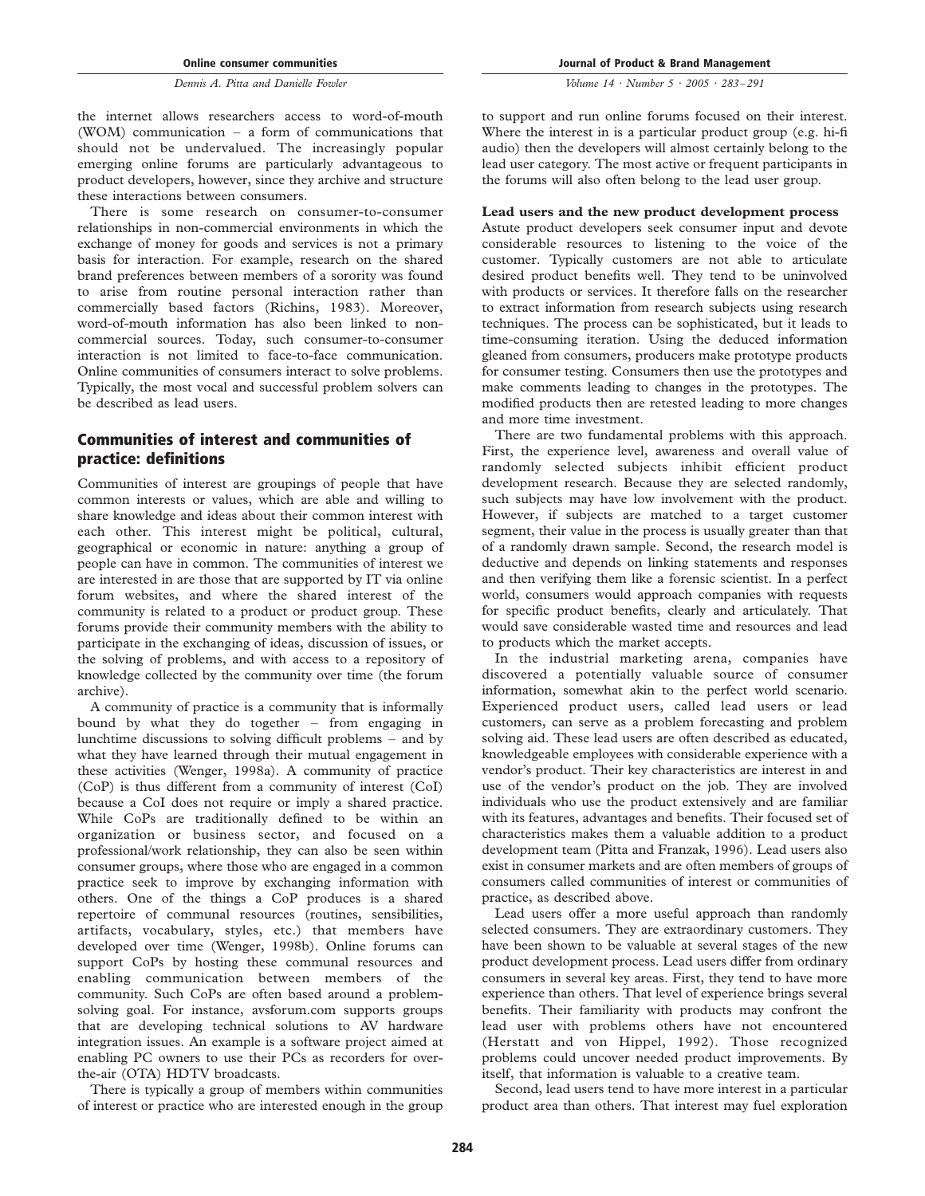Dennis A. Pitta and Danielle Fowler

the internet allows researchers access to word-of-mouth (WOM) communication – a form of communications that should not be undervalued. The increasingly popular emerging online forums are particularly advantageous to product developers, however, since they archive and structure these interactions between consumers.

There is some research on consumer-to-consumer relationships in non-commercial environments in which the exchange of money for goods and services is not a primary basis for interaction. For example, research on the shared brand preferences between members of a sorority was found to arise from routine personal interaction rather than commercially based factors (Richins, 1983). Moreover, word-of-mouth information has also been linked to noncommercial sources. Today, such consumer-to-consumer interaction is not limited to face-to-face communication. Online communities of consumers interact to solve problems. Typically, the most vocal and successful problem solvers can be described as lead users.

# Communities of interest and communities of practice: definitions

Communities of interest are groupings of people that have common interests or values, which are able and willing to share knowledge and ideas about their common interest with each other. This interest might be political, cultural, geographical or economic in nature: anything a group of people can have in common. The communities of interest we are interested in are those that are supported by IT via online forum websites, and where the shared interest of the community is related to a product or product group. These forums provide their community members with the ability to participate in the exchanging of ideas, discussion of issues, or the solving of problems, and with access to a repository of knowledge collected by the community over time (the forum archive).

A community of practice is a community that is informally bound by what they do together – from engaging in lunchtime discussions to solving difficult problems – and by what they have learned through their mutual engagement in these activities (Wenger, 1998a). A community of practice (CoP) is thus different from a community of interest (CoI) because a CoI does not require or imply a shared practice. While CoPs are traditionally defined to be within an organization or business sector, and focused on a professional/work relationship, they can also be seen within consumer groups, where those who are engaged in a common practice seek to improve by exchanging information with others. One of the things a CoP produces is a shared repertoire of communal resources (routines, sensibilities, artifacts, vocabulary, styles, etc.) that members have developed over time (Wenger, 1998b). Online forums can support CoPs by hosting these communal resources and enabling communication between members of the community. Such CoPs are often based around a problemsolving goal. For instance, avsforum.com supports groups that are developing technical solutions to AV hardware integration issues. An example is a software project aimed at enabling PC owners to use their PCs as recorders for overthe-air (OTA) HDTV broadcasts.

There is typically a group of members within communities of interest or practice who are interested enough in the group Journal of Product & Brand Management

Volume 14 · Number 5 · 2005 · 283 –291

to support and run online forums focused on their interest. Where the interest in is a particular product group (e.g. hi-fi audio) then the developers will almost certainly belong to the lead user category. The most active or frequent participants in the forums will also often belong to the lead user group.

## Lead users and the new product development process

Astute product developers seek consumer input and devote considerable resources to listening to the voice of the customer. Typically customers are not able to articulate desired product benefits well. They tend to be uninvolved with products or services. It therefore falls on the researcher to extract information from research subjects using research techniques. The process can be sophisticated, but it leads to time-consuming iteration. Using the deduced information gleaned from consumers, producers make prototype products for consumer testing. Consumers then use the prototypes and make comments leading to changes in the prototypes. The modified products then are retested leading to more changes and more time investment.

There are two fundamental problems with this approach. First, the experience level, awareness and overall value of randomly selected subjects inhibit efficient product development research. Because they are selected randomly, such subjects may have low involvement with the product. However, if subjects are matched to a target customer segment, their value in the process is usually greater than that of a randomly drawn sample. Second, the research model is deductive and depends on linking statements and responses and then verifying them like a forensic scientist. In a perfect world, consumers would approach companies with requests for specific product benefits, clearly and articulately. That would save considerable wasted time and resources and lead to products which the market accepts.

In the industrial marketing arena, companies have discovered a potentially valuable source of consumer information, somewhat akin to the perfect world scenario. Experienced product users, called lead users or lead customers, can serve as a problem forecasting and problem solving aid. These lead users are often described as educated, knowledgeable employees with considerable experience with a vendor's product. Their key characteristics are interest in and use of the vendor's product on the job. They are involved individuals who use the product extensively and are familiar with its features, advantages and benefits. Their focused set of characteristics makes them a valuable addition to a product development team (Pitta and Franzak, 1996). Lead users also exist in consumer markets and are often members of groups of consumers called communities of interest or communities of practice, as described above.

Lead users offer a more useful approach than randomly selected consumers. They are extraordinary customers. They have been shown to be valuable at several stages of the new product development process. Lead users differ from ordinary consumers in several key areas. First, they tend to have more experience than others. That level of experience brings several benefits. Their familiarity with products may confront the lead user with problems others have not encountered (Herstatt and von Hippel, 1992). Those recognized problems could uncover needed product improvements. By itself, that information is valuable to a creative team.

Second, lead users tend to have more interest in a particular product area than others. That interest may fuel exploration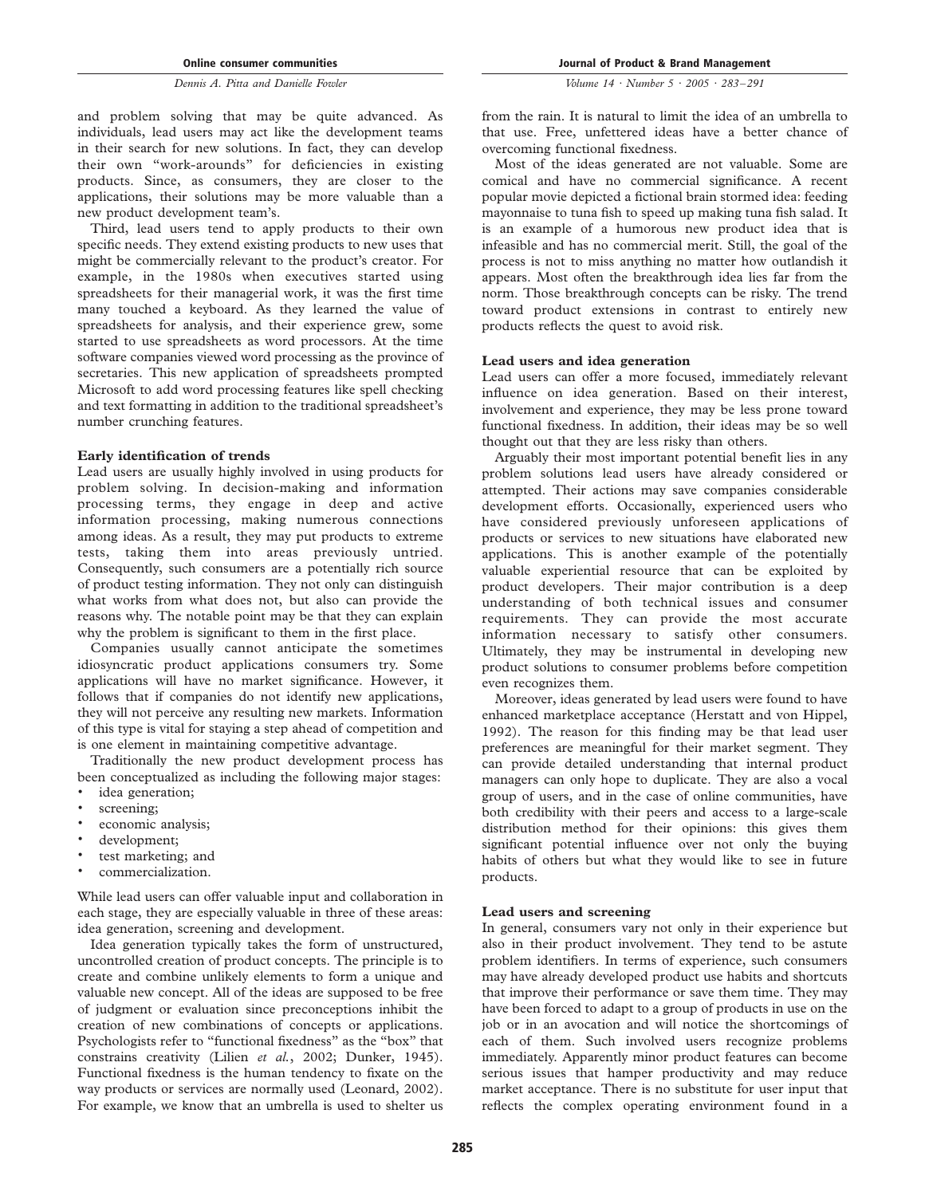Dennis A. Pitta and Danielle Fowler

Volume 14 · Number 5 · 2005 · 283 –291

and problem solving that may be quite advanced. As individuals, lead users may act like the development teams in their search for new solutions. In fact, they can develop their own "work-arounds" for deficiencies in existing products. Since, as consumers, they are closer to the applications, their solutions may be more valuable than a new product development team's.

Third, lead users tend to apply products to their own specific needs. They extend existing products to new uses that might be commercially relevant to the product's creator. For example, in the 1980s when executives started using spreadsheets for their managerial work, it was the first time many touched a keyboard. As they learned the value of spreadsheets for analysis, and their experience grew, some started to use spreadsheets as word processors. At the time software companies viewed word processing as the province of secretaries. This new application of spreadsheets prompted Microsoft to add word processing features like spell checking and text formatting in addition to the traditional spreadsheet's number crunching features.

#### Early identification of trends

Lead users are usually highly involved in using products for problem solving. In decision-making and information processing terms, they engage in deep and active information processing, making numerous connections among ideas. As a result, they may put products to extreme tests, taking them into areas previously untried. Consequently, such consumers are a potentially rich source of product testing information. They not only can distinguish what works from what does not, but also can provide the reasons why. The notable point may be that they can explain why the problem is significant to them in the first place.

Companies usually cannot anticipate the sometimes idiosyncratic product applications consumers try. Some applications will have no market significance. However, it follows that if companies do not identify new applications, they will not perceive any resulting new markets. Information of this type is vital for staying a step ahead of competition and is one element in maintaining competitive advantage.

Traditionally the new product development process has been conceptualized as including the following major stages: idea generation;

- . screening;
- 
- . economic analysis; . development;
- . test marketing; and
- . commercialization.

While lead users can offer valuable input and collaboration in each stage, they are especially valuable in three of these areas: idea generation, screening and development.

Idea generation typically takes the form of unstructured, uncontrolled creation of product concepts. The principle is to create and combine unlikely elements to form a unique and valuable new concept. All of the ideas are supposed to be free of judgment or evaluation since preconceptions inhibit the creation of new combinations of concepts or applications. Psychologists refer to "functional fixedness" as the "box" that constrains creativity (Lilien et al., 2002; Dunker, 1945). Functional fixedness is the human tendency to fixate on the way products or services are normally used (Leonard, 2002). For example, we know that an umbrella is used to shelter us

from the rain. It is natural to limit the idea of an umbrella to that use. Free, unfettered ideas have a better chance of overcoming functional fixedness.

Most of the ideas generated are not valuable. Some are comical and have no commercial significance. A recent popular movie depicted a fictional brain stormed idea: feeding mayonnaise to tuna fish to speed up making tuna fish salad. It is an example of a humorous new product idea that is infeasible and has no commercial merit. Still, the goal of the process is not to miss anything no matter how outlandish it appears. Most often the breakthrough idea lies far from the norm. Those breakthrough concepts can be risky. The trend toward product extensions in contrast to entirely new products reflects the quest to avoid risk.

## Lead users and idea generation

Lead users can offer a more focused, immediately relevant influence on idea generation. Based on their interest, involvement and experience, they may be less prone toward functional fixedness. In addition, their ideas may be so well thought out that they are less risky than others.

Arguably their most important potential benefit lies in any problem solutions lead users have already considered or attempted. Their actions may save companies considerable development efforts. Occasionally, experienced users who have considered previously unforeseen applications of products or services to new situations have elaborated new applications. This is another example of the potentially valuable experiential resource that can be exploited by product developers. Their major contribution is a deep understanding of both technical issues and consumer requirements. They can provide the most accurate information necessary to satisfy other consumers. Ultimately, they may be instrumental in developing new product solutions to consumer problems before competition even recognizes them.

Moreover, ideas generated by lead users were found to have enhanced marketplace acceptance (Herstatt and von Hippel, 1992). The reason for this finding may be that lead user preferences are meaningful for their market segment. They can provide detailed understanding that internal product managers can only hope to duplicate. They are also a vocal group of users, and in the case of online communities, have both credibility with their peers and access to a large-scale distribution method for their opinions: this gives them significant potential influence over not only the buying habits of others but what they would like to see in future products.

#### Lead users and screening

In general, consumers vary not only in their experience but also in their product involvement. They tend to be astute problem identifiers. In terms of experience, such consumers may have already developed product use habits and shortcuts that improve their performance or save them time. They may have been forced to adapt to a group of products in use on the job or in an avocation and will notice the shortcomings of each of them. Such involved users recognize problems immediately. Apparently minor product features can become serious issues that hamper productivity and may reduce market acceptance. There is no substitute for user input that reflects the complex operating environment found in a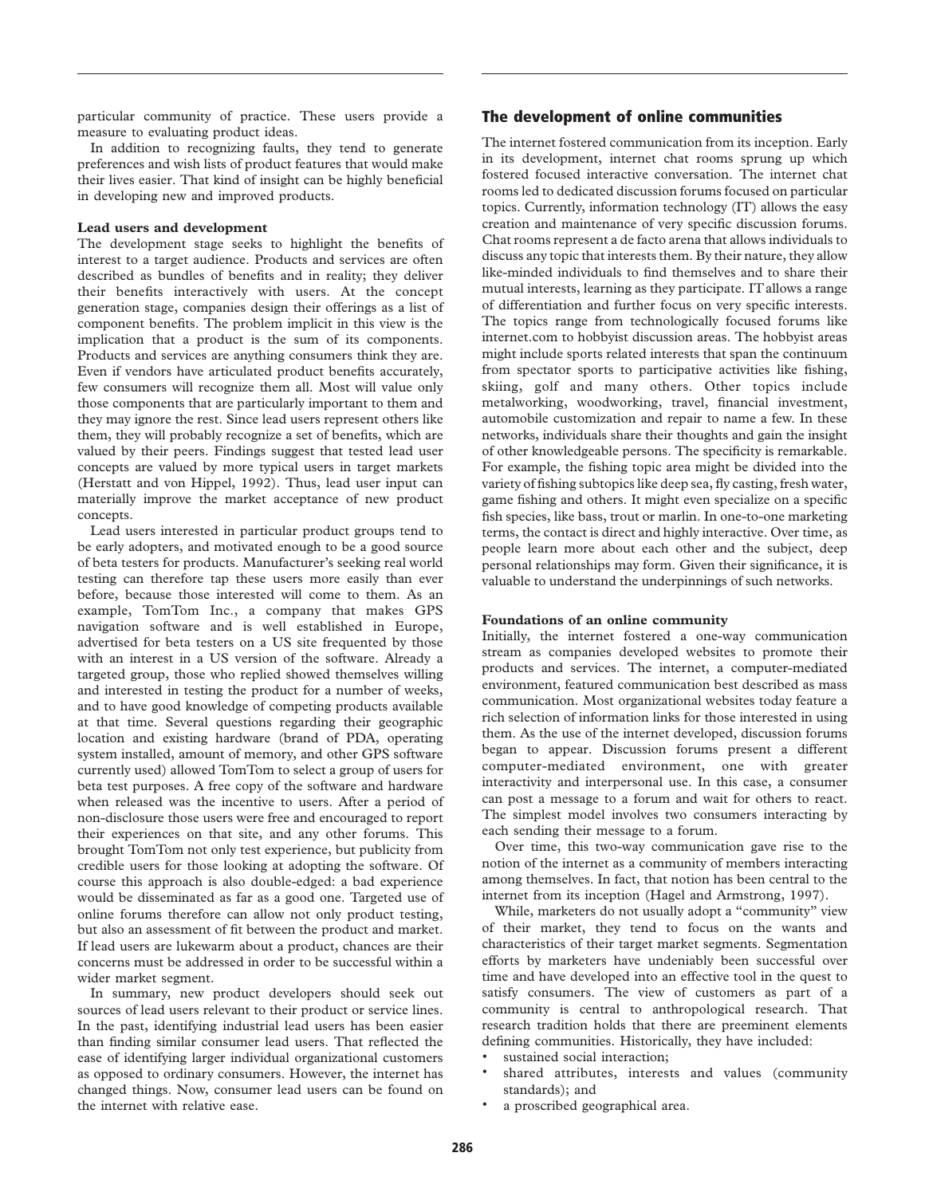particular community of practice. These users provide a measure to evaluating product ideas.

In addition to recognizing faults, they tend to generate preferences and wish lists of product features that would make their lives easier. That kind of insight can be highly beneficial in developing new and improved products.

#### Lead users and development

The development stage seeks to highlight the benefits of interest to a target audience. Products and services are often described as bundles of benefits and in reality; they deliver their benefits interactively with users. At the concept generation stage, companies design their offerings as a list of component benefits. The problem implicit in this view is the implication that a product is the sum of its components. Products and services are anything consumers think they are. Even if vendors have articulated product benefits accurately, few consumers will recognize them all. Most will value only those components that are particularly important to them and they may ignore the rest. Since lead users represent others like them, they will probably recognize a set of benefits, which are valued by their peers. Findings suggest that tested lead user concepts are valued by more typical users in target markets (Herstatt and von Hippel, 1992). Thus, lead user input can materially improve the market acceptance of new product concepts.

Lead users interested in particular product groups tend to be early adopters, and motivated enough to be a good source of beta testers for products. Manufacturer's seeking real world testing can therefore tap these users more easily than ever before, because those interested will come to them. As an example, TomTom Inc., a company that makes GPS navigation software and is well established in Europe, advertised for beta testers on a US site frequented by those with an interest in a US version of the software. Already a targeted group, those who replied showed themselves willing and interested in testing the product for a number of weeks, and to have good knowledge of competing products available at that time. Several questions regarding their geographic location and existing hardware (brand of PDA, operating system installed, amount of memory, and other GPS software currently used) allowed TomTom to select a group of users for beta test purposes. A free copy of the software and hardware when released was the incentive to users. After a period of non-disclosure those users were free and encouraged to report their experiences on that site, and any other forums. This brought TomTom not only test experience, but publicity from credible users for those looking at adopting the software. Of course this approach is also double-edged: a bad experience would be disseminated as far as a good one. Targeted use of online forums therefore can allow not only product testing, but also an assessment of fit between the product and market. If lead users are lukewarm about a product, chances are their concerns must be addressed in order to be successful within a wider market segment.

In summary, new product developers should seek out sources of lead users relevant to their product or service lines. In the past, identifying industrial lead users has been easier than finding similar consumer lead users. That reflected the ease of identifying larger individual organizational customers as opposed to ordinary consumers. However, the internet has changed things. Now, consumer lead users can be found on the internet with relative ease.

# The development of online communities

The internet fostered communication from its inception. Early in its development, internet chat rooms sprung up which fostered focused interactive conversation. The internet chat rooms led to dedicated discussion forums focused on particular topics. Currently, information technology (IT) allows the easy creation and maintenance of very specific discussion forums. Chat rooms represent a de facto arena that allows individuals to discuss any topic that interests them. By their nature, they allow like-minded individuals to find themselves and to share their mutual interests, learning as they participate. ITallows a range of differentiation and further focus on very specific interests. The topics range from technologically focused forums like internet.com to hobbyist discussion areas. The hobbyist areas might include sports related interests that span the continuum from spectator sports to participative activities like fishing, skiing, golf and many others. Other topics include metalworking, woodworking, travel, financial investment, automobile customization and repair to name a few. In these networks, individuals share their thoughts and gain the insight of other knowledgeable persons. The specificity is remarkable. For example, the fishing topic area might be divided into the variety of fishing subtopics like deep sea, fly casting, fresh water, game fishing and others. It might even specialize on a specific fish species, like bass, trout or marlin. In one-to-one marketing terms, the contact is direct and highly interactive. Over time, as people learn more about each other and the subject, deep personal relationships may form. Given their significance, it is valuable to understand the underpinnings of such networks.

#### Foundations of an online community

Initially, the internet fostered a one-way communication stream as companies developed websites to promote their products and services. The internet, a computer-mediated environment, featured communication best described as mass communication. Most organizational websites today feature a rich selection of information links for those interested in using them. As the use of the internet developed, discussion forums began to appear. Discussion forums present a different computer-mediated environment, one with greater interactivity and interpersonal use. In this case, a consumer can post a message to a forum and wait for others to react. The simplest model involves two consumers interacting by each sending their message to a forum.

Over time, this two-way communication gave rise to the notion of the internet as a community of members interacting among themselves. In fact, that notion has been central to the internet from its inception (Hagel and Armstrong, 1997).

While, marketers do not usually adopt a "community" view of their market, they tend to focus on the wants and characteristics of their target market segments. Segmentation efforts by marketers have undeniably been successful over time and have developed into an effective tool in the quest to satisfy consumers. The view of customers as part of a community is central to anthropological research. That research tradition holds that there are preeminent elements defining communities. Historically, they have included:

- . sustained social interaction;
- . shared attributes, interests and values (community standards); and
- . a proscribed geographical area.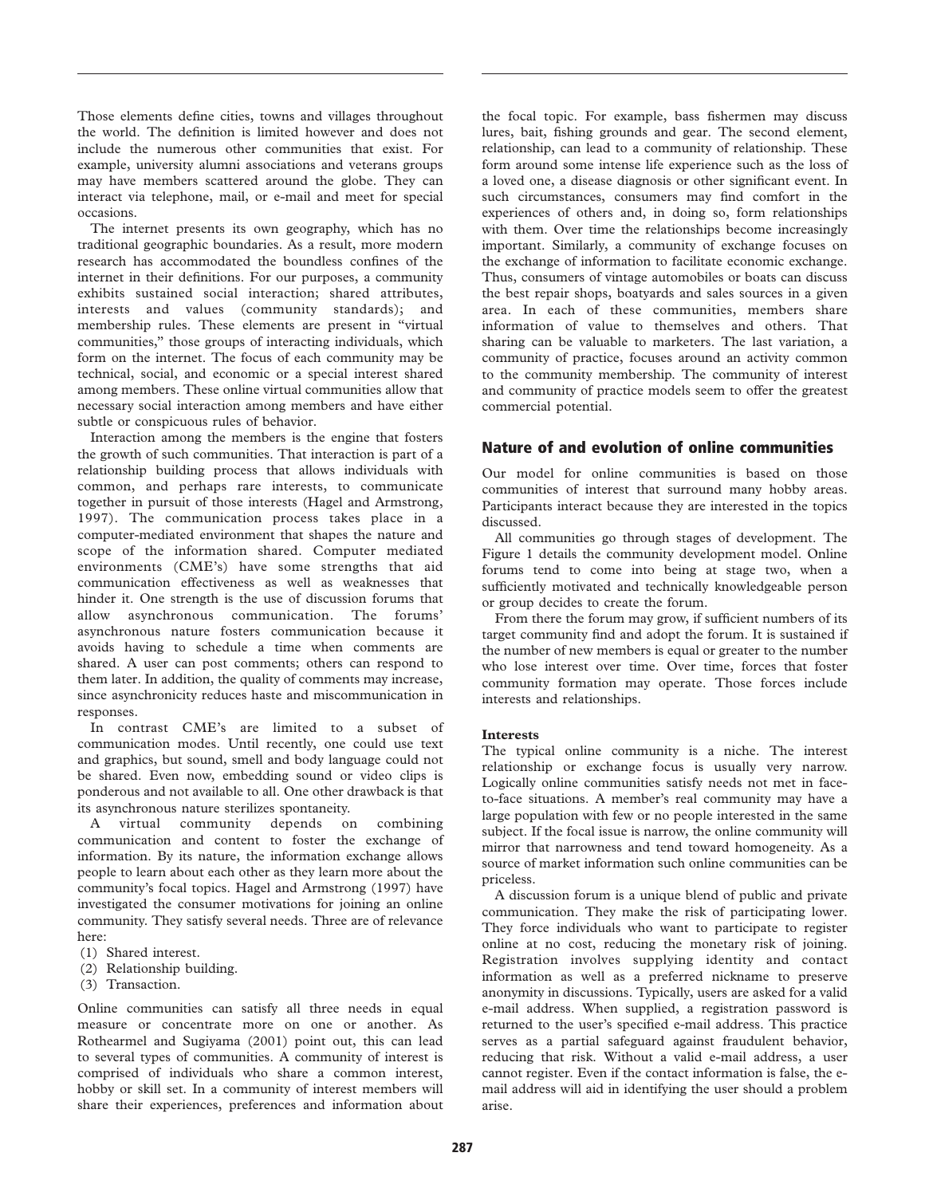Those elements define cities, towns and villages throughout the world. The definition is limited however and does not include the numerous other communities that exist. For example, university alumni associations and veterans groups may have members scattered around the globe. They can interact via telephone, mail, or e-mail and meet for special occasions.

The internet presents its own geography, which has no traditional geographic boundaries. As a result, more modern research has accommodated the boundless confines of the internet in their definitions. For our purposes, a community exhibits sustained social interaction; shared attributes, interests and values (community standards); and membership rules. These elements are present in "virtual communities," those groups of interacting individuals, which form on the internet. The focus of each community may be technical, social, and economic or a special interest shared among members. These online virtual communities allow that necessary social interaction among members and have either subtle or conspicuous rules of behavior.

Interaction among the members is the engine that fosters the growth of such communities. That interaction is part of a relationship building process that allows individuals with common, and perhaps rare interests, to communicate together in pursuit of those interests (Hagel and Armstrong, 1997). The communication process takes place in a computer-mediated environment that shapes the nature and scope of the information shared. Computer mediated environments (CME's) have some strengths that aid communication effectiveness as well as weaknesses that hinder it. One strength is the use of discussion forums that allow asynchronous communication. The forums' asynchronous nature fosters communication because it avoids having to schedule a time when comments are shared. A user can post comments; others can respond to them later. In addition, the quality of comments may increase, since asynchronicity reduces haste and miscommunication in responses.

In contrast CME's are limited to a subset of communication modes. Until recently, one could use text and graphics, but sound, smell and body language could not be shared. Even now, embedding sound or video clips is ponderous and not available to all. One other drawback is that its asynchronous nature sterilizes spontaneity.

A virtual community depends on combining communication and content to foster the exchange of information. By its nature, the information exchange allows people to learn about each other as they learn more about the community's focal topics. Hagel and Armstrong (1997) have investigated the consumer motivations for joining an online community. They satisfy several needs. Three are of relevance here:

- (1) Shared interest.
- (2) Relationship building.
- (3) Transaction.

Online communities can satisfy all three needs in equal measure or concentrate more on one or another. As Rothearmel and Sugiyama (2001) point out, this can lead to several types of communities. A community of interest is comprised of individuals who share a common interest, hobby or skill set. In a community of interest members will share their experiences, preferences and information about the focal topic. For example, bass fishermen may discuss lures, bait, fishing grounds and gear. The second element, relationship, can lead to a community of relationship. These form around some intense life experience such as the loss of a loved one, a disease diagnosis or other significant event. In such circumstances, consumers may find comfort in the experiences of others and, in doing so, form relationships with them. Over time the relationships become increasingly important. Similarly, a community of exchange focuses on the exchange of information to facilitate economic exchange. Thus, consumers of vintage automobiles or boats can discuss the best repair shops, boatyards and sales sources in a given area. In each of these communities, members share information of value to themselves and others. That sharing can be valuable to marketers. The last variation, a community of practice, focuses around an activity common to the community membership. The community of interest and community of practice models seem to offer the greatest commercial potential.

# Nature of and evolution of online communities

Our model for online communities is based on those communities of interest that surround many hobby areas. Participants interact because they are interested in the topics discussed.

All communities go through stages of development. The Figure 1 details the community development model. Online forums tend to come into being at stage two, when a sufficiently motivated and technically knowledgeable person or group decides to create the forum.

From there the forum may grow, if sufficient numbers of its target community find and adopt the forum. It is sustained if the number of new members is equal or greater to the number who lose interest over time. Over time, forces that foster community formation may operate. Those forces include interests and relationships.

#### **Interests**

The typical online community is a niche. The interest relationship or exchange focus is usually very narrow. Logically online communities satisfy needs not met in faceto-face situations. A member's real community may have a large population with few or no people interested in the same subject. If the focal issue is narrow, the online community will mirror that narrowness and tend toward homogeneity. As a source of market information such online communities can be priceless.

A discussion forum is a unique blend of public and private communication. They make the risk of participating lower. They force individuals who want to participate to register online at no cost, reducing the monetary risk of joining. Registration involves supplying identity and contact information as well as a preferred nickname to preserve anonymity in discussions. Typically, users are asked for a valid e-mail address. When supplied, a registration password is returned to the user's specified e-mail address. This practice serves as a partial safeguard against fraudulent behavior, reducing that risk. Without a valid e-mail address, a user cannot register. Even if the contact information is false, the email address will aid in identifying the user should a problem arise.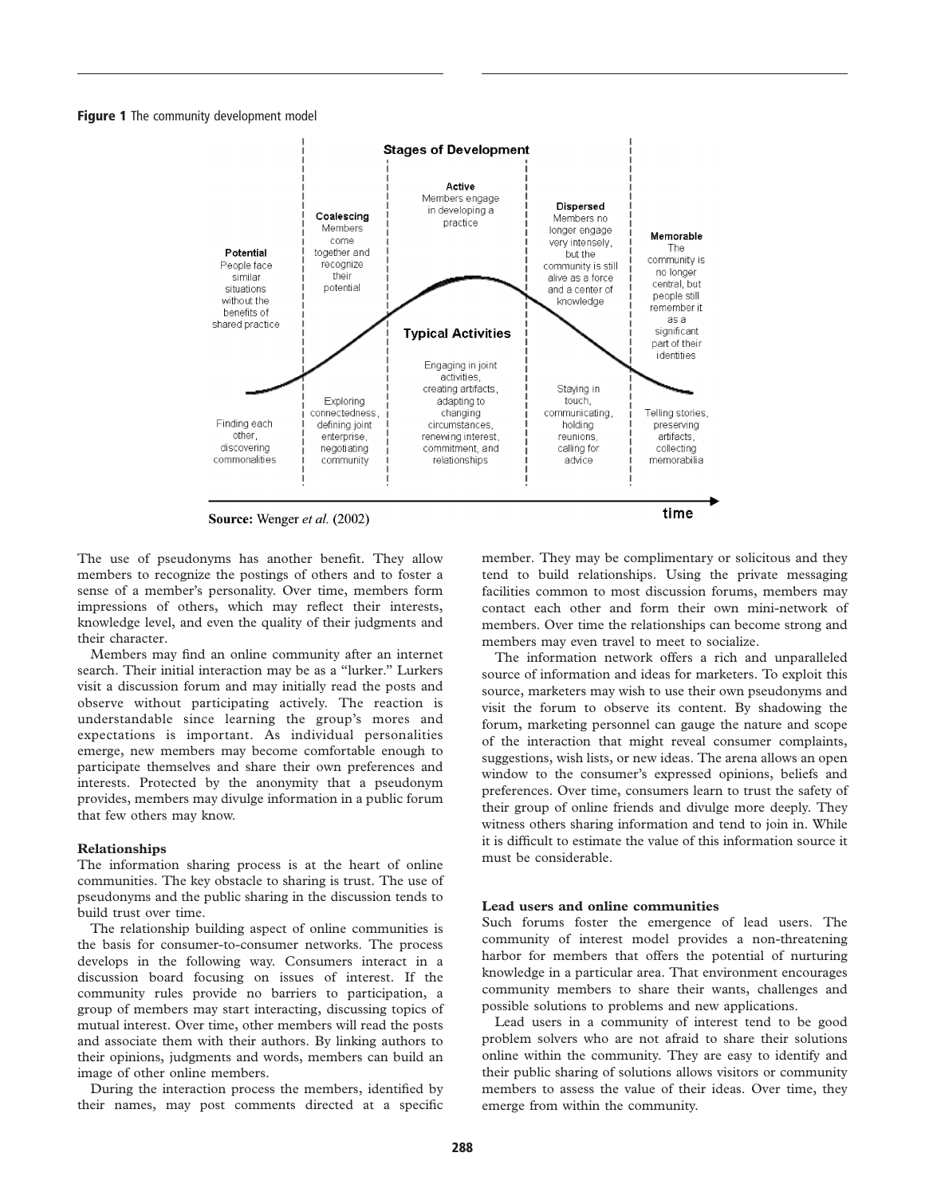#### Figure 1 The community development model



Source: Wenger et al. (2002)

The use of pseudonyms has another benefit. They allow members to recognize the postings of others and to foster a sense of a member's personality. Over time, members form impressions of others, which may reflect their interests, knowledge level, and even the quality of their judgments and their character.

Members may find an online community after an internet search. Their initial interaction may be as a "lurker." Lurkers visit a discussion forum and may initially read the posts and observe without participating actively. The reaction is understandable since learning the group's mores and expectations is important. As individual personalities emerge, new members may become comfortable enough to participate themselves and share their own preferences and interests. Protected by the anonymity that a pseudonym provides, members may divulge information in a public forum that few others may know.

#### Relationships

The information sharing process is at the heart of online communities. The key obstacle to sharing is trust. The use of pseudonyms and the public sharing in the discussion tends to build trust over time.

The relationship building aspect of online communities is the basis for consumer-to-consumer networks. The process develops in the following way. Consumers interact in a discussion board focusing on issues of interest. If the community rules provide no barriers to participation, a group of members may start interacting, discussing topics of mutual interest. Over time, other members will read the posts and associate them with their authors. By linking authors to their opinions, judgments and words, members can build an image of other online members.

During the interaction process the members, identified by their names, may post comments directed at a specific

member. They may be complimentary or solicitous and they tend to build relationships. Using the private messaging facilities common to most discussion forums, members may contact each other and form their own mini-network of members. Over time the relationships can become strong and members may even travel to meet to socialize.

The information network offers a rich and unparalleled source of information and ideas for marketers. To exploit this source, marketers may wish to use their own pseudonyms and visit the forum to observe its content. By shadowing the forum, marketing personnel can gauge the nature and scope of the interaction that might reveal consumer complaints, suggestions, wish lists, or new ideas. The arena allows an open window to the consumer's expressed opinions, beliefs and preferences. Over time, consumers learn to trust the safety of their group of online friends and divulge more deeply. They witness others sharing information and tend to join in. While it is difficult to estimate the value of this information source it must be considerable.

## Lead users and online communities

Such forums foster the emergence of lead users. The community of interest model provides a non-threatening harbor for members that offers the potential of nurturing knowledge in a particular area. That environment encourages community members to share their wants, challenges and possible solutions to problems and new applications.

Lead users in a community of interest tend to be good problem solvers who are not afraid to share their solutions online within the community. They are easy to identify and their public sharing of solutions allows visitors or community members to assess the value of their ideas. Over time, they emerge from within the community.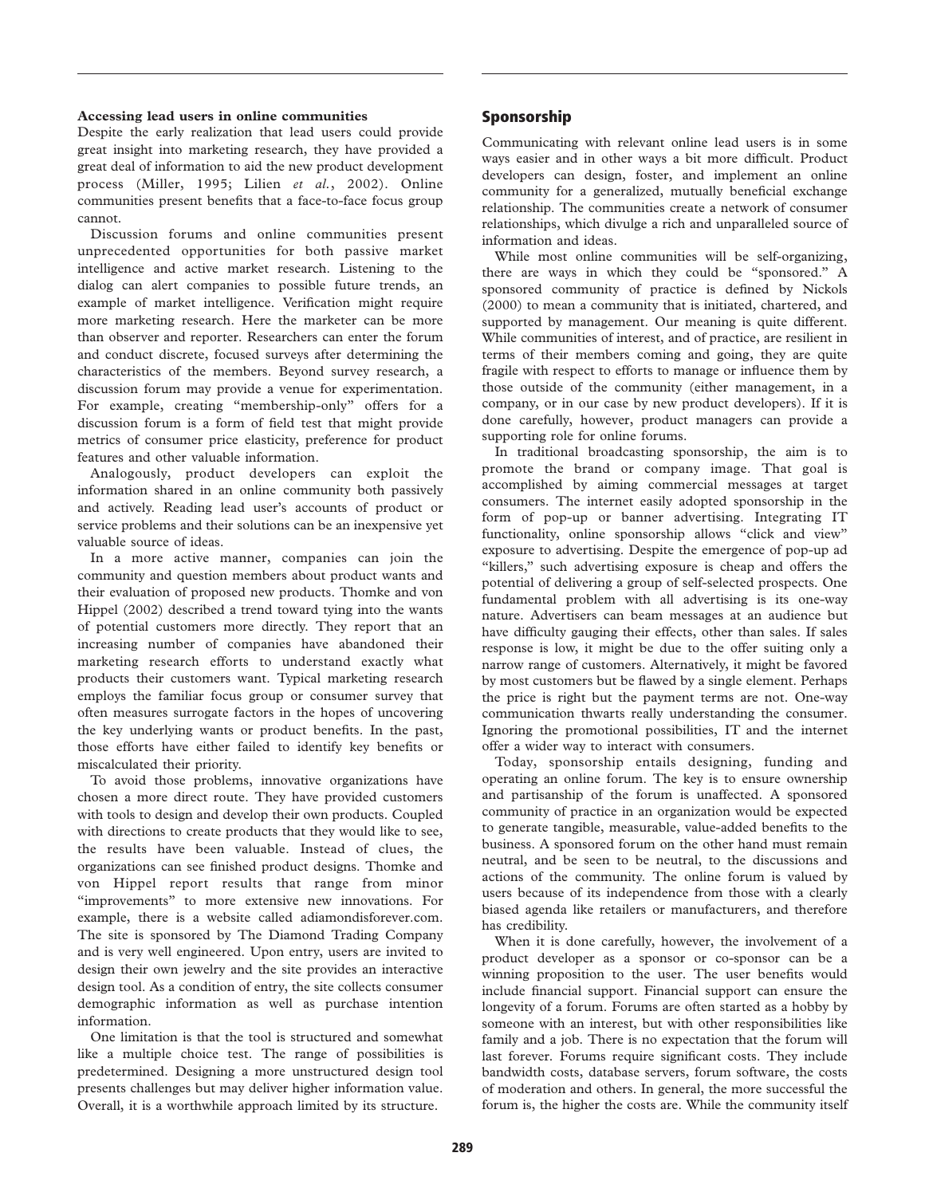## Accessing lead users in online communities

Despite the early realization that lead users could provide great insight into marketing research, they have provided a great deal of information to aid the new product development process (Miller, 1995; Lilien et al., 2002). Online communities present benefits that a face-to-face focus group cannot.

Discussion forums and online communities present unprecedented opportunities for both passive market intelligence and active market research. Listening to the dialog can alert companies to possible future trends, an example of market intelligence. Verification might require more marketing research. Here the marketer can be more than observer and reporter. Researchers can enter the forum and conduct discrete, focused surveys after determining the characteristics of the members. Beyond survey research, a discussion forum may provide a venue for experimentation. For example, creating "membership-only" offers for a discussion forum is a form of field test that might provide metrics of consumer price elasticity, preference for product features and other valuable information.

Analogously, product developers can exploit the information shared in an online community both passively and actively. Reading lead user's accounts of product or service problems and their solutions can be an inexpensive yet valuable source of ideas.

In a more active manner, companies can join the community and question members about product wants and their evaluation of proposed new products. Thomke and von Hippel (2002) described a trend toward tying into the wants of potential customers more directly. They report that an increasing number of companies have abandoned their marketing research efforts to understand exactly what products their customers want. Typical marketing research employs the familiar focus group or consumer survey that often measures surrogate factors in the hopes of uncovering the key underlying wants or product benefits. In the past, those efforts have either failed to identify key benefits or miscalculated their priority.

To avoid those problems, innovative organizations have chosen a more direct route. They have provided customers with tools to design and develop their own products. Coupled with directions to create products that they would like to see, the results have been valuable. Instead of clues, the organizations can see finished product designs. Thomke and von Hippel report results that range from minor "improvements" to more extensive new innovations. For example, there is a website called adiamondisforever.com. The site is sponsored by The Diamond Trading Company and is very well engineered. Upon entry, users are invited to design their own jewelry and the site provides an interactive design tool. As a condition of entry, the site collects consumer demographic information as well as purchase intention information.

One limitation is that the tool is structured and somewhat like a multiple choice test. The range of possibilities is predetermined. Designing a more unstructured design tool presents challenges but may deliver higher information value. Overall, it is a worthwhile approach limited by its structure.

# Sponsorship

Communicating with relevant online lead users is in some ways easier and in other ways a bit more difficult. Product developers can design, foster, and implement an online community for a generalized, mutually beneficial exchange relationship. The communities create a network of consumer relationships, which divulge a rich and unparalleled source of information and ideas.

While most online communities will be self-organizing, there are ways in which they could be "sponsored." A sponsored community of practice is defined by Nickols (2000) to mean a community that is initiated, chartered, and supported by management. Our meaning is quite different. While communities of interest, and of practice, are resilient in terms of their members coming and going, they are quite fragile with respect to efforts to manage or influence them by those outside of the community (either management, in a company, or in our case by new product developers). If it is done carefully, however, product managers can provide a supporting role for online forums.

In traditional broadcasting sponsorship, the aim is to promote the brand or company image. That goal is accomplished by aiming commercial messages at target consumers. The internet easily adopted sponsorship in the form of pop-up or banner advertising. Integrating IT functionality, online sponsorship allows "click and view" exposure to advertising. Despite the emergence of pop-up ad "killers," such advertising exposure is cheap and offers the potential of delivering a group of self-selected prospects. One fundamental problem with all advertising is its one-way nature. Advertisers can beam messages at an audience but have difficulty gauging their effects, other than sales. If sales response is low, it might be due to the offer suiting only a narrow range of customers. Alternatively, it might be favored by most customers but be flawed by a single element. Perhaps the price is right but the payment terms are not. One-way communication thwarts really understanding the consumer. Ignoring the promotional possibilities, IT and the internet offer a wider way to interact with consumers.

Today, sponsorship entails designing, funding and operating an online forum. The key is to ensure ownership and partisanship of the forum is unaffected. A sponsored community of practice in an organization would be expected to generate tangible, measurable, value-added benefits to the business. A sponsored forum on the other hand must remain neutral, and be seen to be neutral, to the discussions and actions of the community. The online forum is valued by users because of its independence from those with a clearly biased agenda like retailers or manufacturers, and therefore has credibility.

When it is done carefully, however, the involvement of a product developer as a sponsor or co-sponsor can be a winning proposition to the user. The user benefits would include financial support. Financial support can ensure the longevity of a forum. Forums are often started as a hobby by someone with an interest, but with other responsibilities like family and a job. There is no expectation that the forum will last forever. Forums require significant costs. They include bandwidth costs, database servers, forum software, the costs of moderation and others. In general, the more successful the forum is, the higher the costs are. While the community itself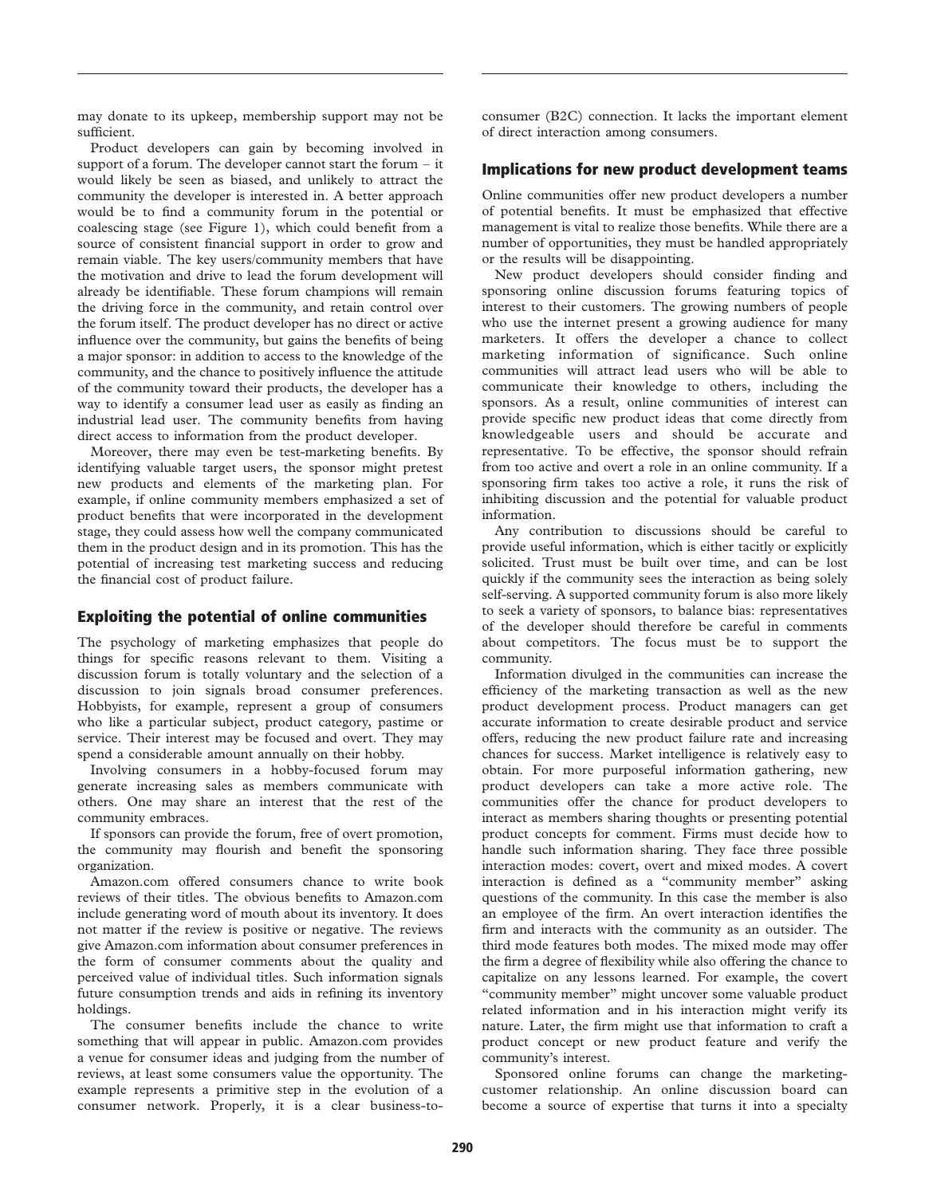may donate to its upkeep, membership support may not be sufficient.

Product developers can gain by becoming involved in support of a forum. The developer cannot start the forum – it would likely be seen as biased, and unlikely to attract the community the developer is interested in. A better approach would be to find a community forum in the potential or coalescing stage (see Figure 1), which could benefit from a source of consistent financial support in order to grow and remain viable. The key users/community members that have the motivation and drive to lead the forum development will already be identifiable. These forum champions will remain the driving force in the community, and retain control over the forum itself. The product developer has no direct or active influence over the community, but gains the benefits of being a major sponsor: in addition to access to the knowledge of the community, and the chance to positively influence the attitude of the community toward their products, the developer has a way to identify a consumer lead user as easily as finding an industrial lead user. The community benefits from having direct access to information from the product developer.

Moreover, there may even be test-marketing benefits. By identifying valuable target users, the sponsor might pretest new products and elements of the marketing plan. For example, if online community members emphasized a set of product benefits that were incorporated in the development stage, they could assess how well the company communicated them in the product design and in its promotion. This has the potential of increasing test marketing success and reducing the financial cost of product failure.

# Exploiting the potential of online communities

The psychology of marketing emphasizes that people do things for specific reasons relevant to them. Visiting a discussion forum is totally voluntary and the selection of a discussion to join signals broad consumer preferences. Hobbyists, for example, represent a group of consumers who like a particular subject, product category, pastime or service. Their interest may be focused and overt. They may spend a considerable amount annually on their hobby.

Involving consumers in a hobby-focused forum may generate increasing sales as members communicate with others. One may share an interest that the rest of the community embraces.

If sponsors can provide the forum, free of overt promotion, the community may flourish and benefit the sponsoring organization.

Amazon.com offered consumers chance to write book reviews of their titles. The obvious benefits to Amazon.com include generating word of mouth about its inventory. It does not matter if the review is positive or negative. The reviews give Amazon.com information about consumer preferences in the form of consumer comments about the quality and perceived value of individual titles. Such information signals future consumption trends and aids in refining its inventory holdings.

The consumer benefits include the chance to write something that will appear in public. Amazon.com provides a venue for consumer ideas and judging from the number of reviews, at least some consumers value the opportunity. The example represents a primitive step in the evolution of a consumer network. Properly, it is a clear business-toconsumer (B2C) connection. It lacks the important element of direct interaction among consumers.

# Implications for new product development teams

Online communities offer new product developers a number of potential benefits. It must be emphasized that effective management is vital to realize those benefits. While there are a number of opportunities, they must be handled appropriately or the results will be disappointing.

New product developers should consider finding and sponsoring online discussion forums featuring topics of interest to their customers. The growing numbers of people who use the internet present a growing audience for many marketers. It offers the developer a chance to collect marketing information of significance. Such online communities will attract lead users who will be able to communicate their knowledge to others, including the sponsors. As a result, online communities of interest can provide specific new product ideas that come directly from knowledgeable users and should be accurate and representative. To be effective, the sponsor should refrain from too active and overt a role in an online community. If a sponsoring firm takes too active a role, it runs the risk of inhibiting discussion and the potential for valuable product information.

Any contribution to discussions should be careful to provide useful information, which is either tacitly or explicitly solicited. Trust must be built over time, and can be lost quickly if the community sees the interaction as being solely self-serving. A supported community forum is also more likely to seek a variety of sponsors, to balance bias: representatives of the developer should therefore be careful in comments about competitors. The focus must be to support the community.

Information divulged in the communities can increase the efficiency of the marketing transaction as well as the new product development process. Product managers can get accurate information to create desirable product and service offers, reducing the new product failure rate and increasing chances for success. Market intelligence is relatively easy to obtain. For more purposeful information gathering, new product developers can take a more active role. The communities offer the chance for product developers to interact as members sharing thoughts or presenting potential product concepts for comment. Firms must decide how to handle such information sharing. They face three possible interaction modes: covert, overt and mixed modes. A covert interaction is defined as a "community member" asking questions of the community. In this case the member is also an employee of the firm. An overt interaction identifies the firm and interacts with the community as an outsider. The third mode features both modes. The mixed mode may offer the firm a degree of flexibility while also offering the chance to capitalize on any lessons learned. For example, the covert "community member" might uncover some valuable product related information and in his interaction might verify its nature. Later, the firm might use that information to craft a product concept or new product feature and verify the community's interest.

Sponsored online forums can change the marketingcustomer relationship. An online discussion board can become a source of expertise that turns it into a specialty